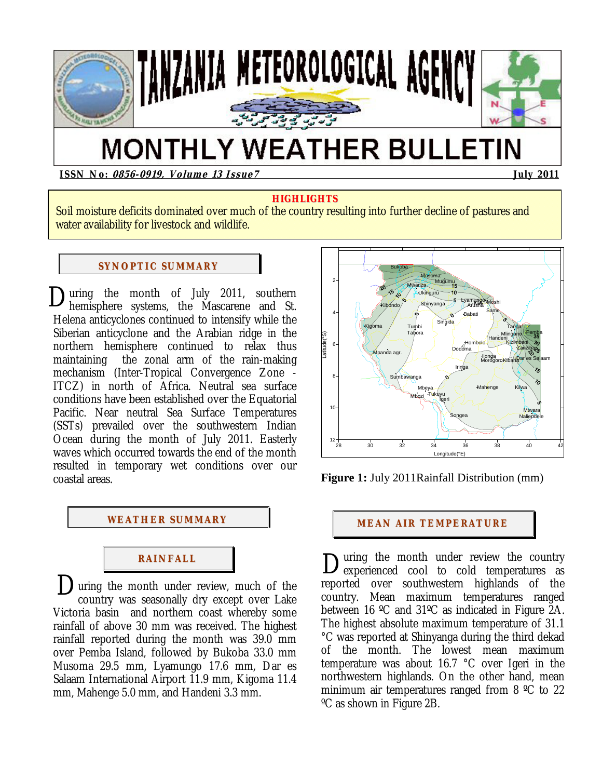

# **MONTHLY WEATHER BULLETIN**

**ISSN No: 0856-0919, Volume 13 Issue7 July 2011** 

# **HIGHLIGHTS**

Soil moisture deficits dominated over much of the country resulting into further decline of pastures and water availability for livestock and wildlife.

### **SYNOPTIC SUMMARY**

Ĩ

During the month of July 2011, southern<br>hemisphere systems, the Mascarene and St. hemisphere systems, the Mascarene and St. Helena anticyclones continued to intensify while the Siberian anticyclone and the Arabian ridge in the northern hemisphere continued to relax thus maintaining the zonal arm of the rain-making mechanism (Inter-Tropical Convergence Zone - ITCZ) in north of Africa. Neutral sea surface conditions have been established over the Equatorial Pacific. Near neutral Sea Surface Temperatures (SSTs) prevailed over the southwestern Indian Ocean during the month of July 2011. Easterly waves which occurred towards the end of the month resulted in temporary wet conditions over our coastal areas.



# **RAI NFALL**

During the month under review, much of the country was seasonally dry except over Lake country was seasonally dry except over Lake Victoria basin and northern coast whereby some rainfall of above 30 mm was received. The highest rainfall reported during the month was 39.0 mm over Pemba Island, followed by Bukoba 33.0 mm Musoma 29.5 mm, Lyamungo 17.6 mm, Dar es Salaam International Airport 11.9 mm, Kigoma 11.4 mm, Mahenge 5.0 mm, and Handeni 3.3 mm.



**Figure 1:** July 2011Rainfall Distribution (mm)

uring the month under review the country experienced cool to cold temperatures as reported over southwestern highlands of the country. Mean maximum temperatures ranged between 16 ºC and 31ºC as indicated in Figure 2A. The highest absolute maximum temperature of 31.1 °C was reported at Shinyanga during the third dekad of the month. The lowest mean maximum temperature was about 16.7 °C over Igeri in the northwestern highlands. On the other hand, mean minimum air temperatures ranged from 8 ºC to 22 ºC as shown in Figure 2B. D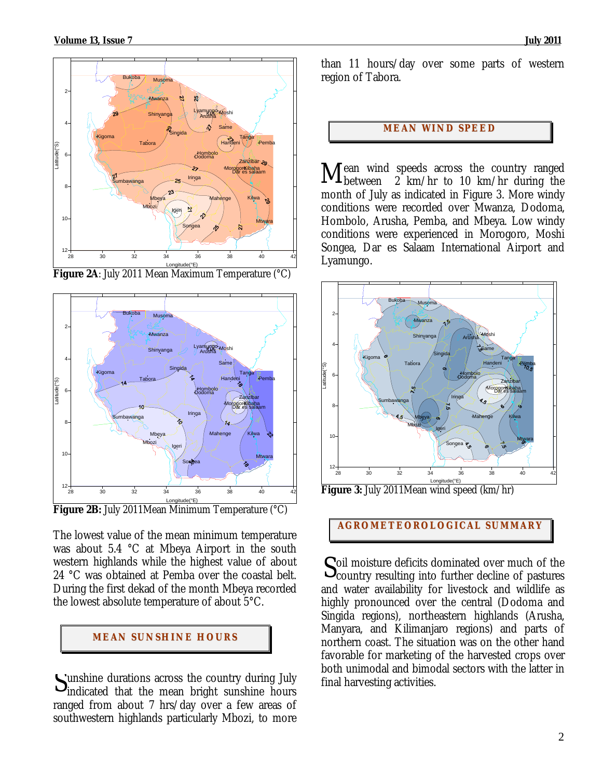

**Figure 2A**: July 2011 Mean Maximum Temperature (°C)



**Figure 2B:** July 2011Mean Minimum Temperature (°C)

The lowest value of the mean minimum temperature was about 5.4 °C at Mbeya Airport in the south western highlands while the highest value of about 24 °C was obtained at Pemba over the coastal belt. During the first dekad of the month Mbeya recorded the lowest absolute temperature of about 5°C.

# **MEAN SUNSHINE HOURS**

unshine durations across the country during July Sunshine durations across the country during July<br>
indicated that the mean bright sunshine hours ranged from about 7 hrs/day over a few areas of southwestern highlands particularly Mbozi, to more than 11 hours/day over some parts of western region of Tabora.

#### **MEAN WI ND SPEED**

ean wind speeds across the country ranged Mean wind speeds across the country ranged<br>Mbetween 2 km/hr to 10 km/hr during the month of July as indicated in Figure 3. More windy conditions were recorded over Mwanza, Dodoma, Hombolo, Arusha, Pemba, and Mbeya. Low windy conditions were experienced in Morogoro, Moshi Songea, Dar es Salaam International Airport and Lyamungo.



Longitude(°E) **Figure 3:** July 2011Mean wind speed (km/hr)

**AGROMETEOROLOGICAL SUMMARY**

oil moisture deficits dominated over much of the  $S<sub>country</sub>$  resulting into further decline of pastures and water availability for livestock and wildlife as highly pronounced over the central (Dodoma and Singida regions), northeastern highlands (Arusha, Manyara, and Kilimanjaro regions) and parts of northern coast. The situation was on the other hand favorable for marketing of the harvested crops over both unimodal and bimodal sectors with the latter in final harvesting activities.